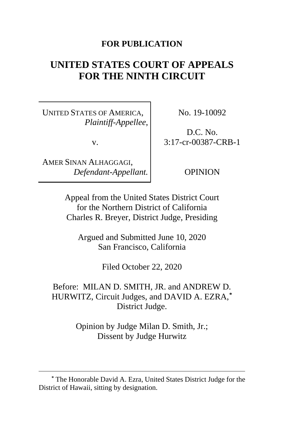### **FOR PUBLICATION**

# **UNITED STATES COURT OF APPEALS FOR THE NINTH CIRCUIT**

UNITED STATES OF AMERICA, *Plaintiff-Appellee*,

v.

AMER SINAN ALHAGGAGI, *Defendant-Appellant.* No. 19-10092

D.C. No. 3:17-cr-00387-CRB-1

OPINION

Appeal from the United States District Court for the Northern District of California Charles R. Breyer, District Judge, Presiding

Argued and Submitted June 10, 2020 San Francisco, California

Filed October 22, 2020

Before: MILAN D. SMITH, JR. and ANDREW D. HURWITZ, Circuit Judges, and DAVID A. EZRA,**[\\*](#page-0-0)** District Judge.

> Opinion by Judge Milan D. Smith, Jr.; Dissent by Judge Hurwitz

<span id="page-0-0"></span>**<sup>\*</sup>** The Honorable David A. Ezra, United States District Judge for the District of Hawaii, sitting by designation.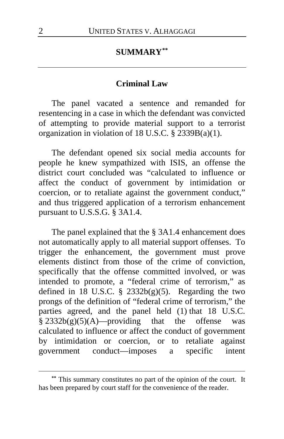### **SUMMARY[\\*\\*](#page-1-0)**

#### **Criminal Law**

The panel vacated a sentence and remanded for resentencing in a case in which the defendant was convicted of attempting to provide material support to a terrorist organization in violation of 18 U.S.C. § 2339B(a)(1).

The defendant opened six social media accounts for people he knew sympathized with ISIS, an offense the district court concluded was "calculated to influence or affect the conduct of government by intimidation or coercion, or to retaliate against the government conduct," and thus triggered application of a terrorism enhancement pursuant to U.S.S.G. § 3A1.4.

The panel explained that the § 3A1.4 enhancement does not automatically apply to all material support offenses. To trigger the enhancement, the government must prove elements distinct from those of the crime of conviction, specifically that the offense committed involved, or was intended to promote, a "federal crime of terrorism," as defined in  $18$  U.S.C. § 2332b(g)(5). Regarding the two prongs of the definition of "federal crime of terrorism," the parties agreed, and the panel held (1) that 18 U.S.C.  $§ 2332b(g)(5)(A)$ —providing that the offense was calculated to influence or affect the conduct of government by intimidation or coercion, or to retaliate against government conduct—imposes a specific intent

<span id="page-1-0"></span>**<sup>\*\*</sup>** This summary constitutes no part of the opinion of the court. It has been prepared by court staff for the convenience of the reader.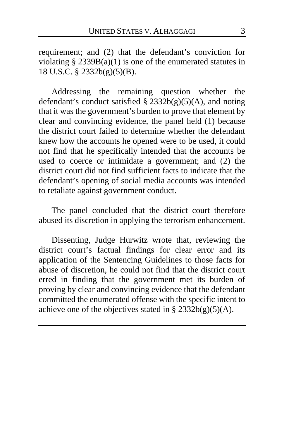requirement; and (2) that the defendant's conviction for violating  $\S$  2339B(a)(1) is one of the enumerated statutes in 18 U.S.C. § 2332b(g)(5)(B).

Addressing the remaining question whether the defendant's conduct satisfied  $\S$  2332b(g)(5)(A), and noting that it was the government's burden to prove that element by clear and convincing evidence, the panel held (1) because the district court failed to determine whether the defendant knew how the accounts he opened were to be used, it could not find that he specifically intended that the accounts be used to coerce or intimidate a government; and (2) the district court did not find sufficient facts to indicate that the defendant's opening of social media accounts was intended to retaliate against government conduct.

The panel concluded that the district court therefore abused its discretion in applying the terrorism enhancement.

Dissenting, Judge Hurwitz wrote that, reviewing the district court's factual findings for clear error and its application of the Sentencing Guidelines to those facts for abuse of discretion, he could not find that the district court erred in finding that the government met its burden of proving by clear and convincing evidence that the defendant committed the enumerated offense with the specific intent to achieve one of the objectives stated in §  $2332b(g)(5)(A)$ .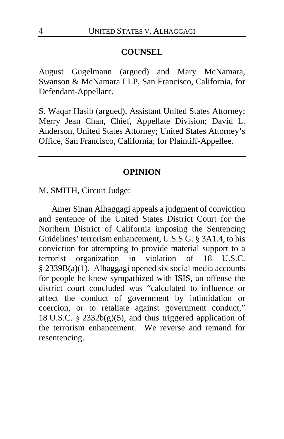#### **COUNSEL**

August Gugelmann (argued) and Mary McNamara, Swanson & McNamara LLP, San Francisco, California, for Defendant-Appellant.

S. Waqar Hasib (argued), Assistant United States Attorney; Merry Jean Chan, Chief, Appellate Division; David L. Anderson, United States Attorney; United States Attorney's Office, San Francisco, California; for Plaintiff-Appellee.

#### **OPINION**

M. SMITH, Circuit Judge:

Amer Sinan Alhaggagi appeals a judgment of conviction and sentence of the United States District Court for the Northern District of California imposing the Sentencing Guidelines' terrorism enhancement, U.S.S.G. § 3A1.4, to his conviction for attempting to provide material support to a terrorist organization in violation of 18 U.S.C. § 2339B(a)(1). Alhaggagi opened six social media accounts for people he knew sympathized with ISIS, an offense the district court concluded was "calculated to influence or affect the conduct of government by intimidation or coercion, or to retaliate against government conduct," 18 U.S.C.  $\S$  2332b(g)(5), and thus triggered application of the terrorism enhancement. We reverse and remand for resentencing.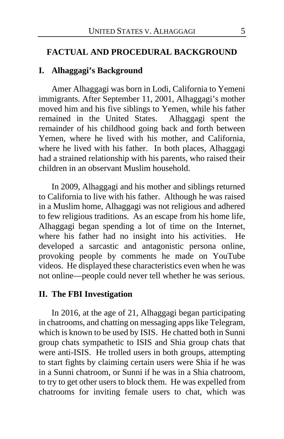#### **FACTUAL AND PROCEDURAL BACKGROUND**

### **I. Alhaggagi's Background**

Amer Alhaggagi was born in Lodi, California to Yemeni immigrants. After September 11, 2001, Alhaggagi's mother moved him and his five siblings to Yemen, while his father remained in the United States. Alhaggagi spent the remained in the United States. remainder of his childhood going back and forth between Yemen, where he lived with his mother, and California, where he lived with his father. In both places, Alhaggagi had a strained relationship with his parents, who raised their children in an observant Muslim household.

In 2009, Alhaggagi and his mother and siblings returned to California to live with his father. Although he was raised in a Muslim home, Alhaggagi was not religious and adhered to few religious traditions. As an escape from his home life, Alhaggagi began spending a lot of time on the Internet, where his father had no insight into his activities. He developed a sarcastic and antagonistic persona online, provoking people by comments he made on YouTube videos. He displayed these characteristics even when he was not online—people could never tell whether he was serious.

#### **II. The FBI Investigation**

In 2016, at the age of 21, Alhaggagi began participating in chatrooms, and chatting on messaging apps like Telegram, which is known to be used by ISIS. He chatted both in Sunni group chats sympathetic to ISIS and Shia group chats that were anti-ISIS. He trolled users in both groups, attempting to start fights by claiming certain users were Shia if he was in a Sunni chatroom, or Sunni if he was in a Shia chatroom, to try to get other users to block them. He was expelled from chatrooms for inviting female users to chat, which was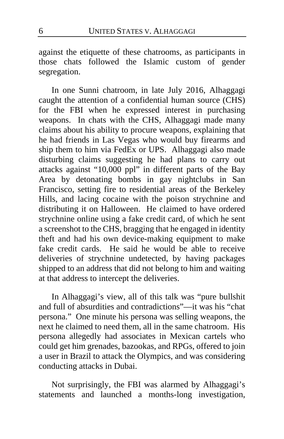against the etiquette of these chatrooms, as participants in those chats followed the Islamic custom of gender segregation.

In one Sunni chatroom, in late July 2016, Alhaggagi caught the attention of a confidential human source (CHS) for the FBI when he expressed interest in purchasing weapons. In chats with the CHS, Alhaggagi made many claims about his ability to procure weapons, explaining that he had friends in Las Vegas who would buy firearms and ship them to him via FedEx or UPS. Alhaggagi also made disturbing claims suggesting he had plans to carry out attacks against "10,000 ppl" in different parts of the Bay Area by detonating bombs in gay nightclubs in San Francisco, setting fire to residential areas of the Berkeley Hills, and lacing cocaine with the poison strychnine and distributing it on Halloween.He claimed to have ordered strychnine online using a fake credit card, of which he sent a screenshot to the CHS, bragging that he engaged in identity theft and had his own device-making equipment to make fake credit cards. He said he would be able to receive deliveries of strychnine undetected, by having packages shipped to an address that did not belong to him and waiting at that address to intercept the deliveries.

In Alhaggagi's view, all of this talk was "pure bullshit and full of absurdities and contradictions"—it was his "chat persona." One minute his persona was selling weapons, the next he claimed to need them, all in the same chatroom. His persona allegedly had associates in Mexican cartels who could get him grenades, bazookas, and RPGs, offered to join a user in Brazil to attack the Olympics, and was considering conducting attacks in Dubai.

Not surprisingly, the FBI was alarmed by Alhaggagi's statements and launched a months-long investigation,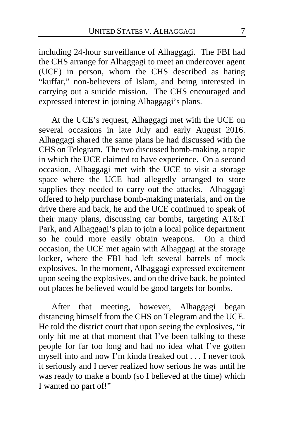including 24-hour surveillance of Alhaggagi. The FBI had the CHS arrange for Alhaggagi to meet an undercover agent (UCE) in person, whom the CHS described as hating "kuffar," non-believers of Islam, and being interested in carrying out a suicide mission. The CHS encouraged and expressed interest in joining Alhaggagi's plans.

At the UCE's request, Alhaggagi met with the UCE on several occasions in late July and early August 2016. Alhaggagi shared the same plans he had discussed with the CHS on Telegram. The two discussed bomb-making, a topic in which the UCE claimed to have experience. On a second occasion, Alhaggagi met with the UCE to visit a storage space where the UCE had allegedly arranged to store supplies they needed to carry out the attacks. Alhaggagi offered to help purchase bomb-making materials, and on the drive there and back, he and the UCE continued to speak of their many plans, discussing car bombs, targeting AT&T Park, and Alhaggagi's plan to join a local police department so he could more easily obtain weapons. On a third occasion, the UCE met again with Alhaggagi at the storage locker, where the FBI had left several barrels of mock explosives. In the moment, Alhaggagi expressed excitement upon seeing the explosives, and on the drive back, he pointed out places he believed would be good targets for bombs.

After that meeting, however, Alhaggagi began distancing himself from the CHS on Telegram and the UCE. He told the district court that upon seeing the explosives, "it only hit me at that moment that I've been talking to these people for far too long and had no idea what I've gotten myself into and now I'm kinda freaked out . . . I never took it seriously and I never realized how serious he was until he was ready to make a bomb (so I believed at the time) which I wanted no part of!"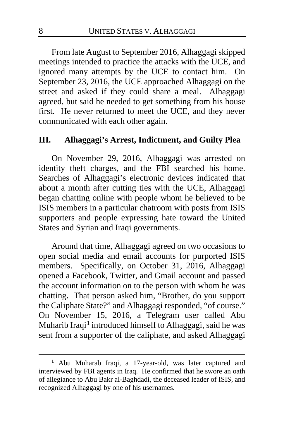From late August to September 2016, Alhaggagi skipped meetings intended to practice the attacks with the UCE, and ignored many attempts by the UCE to contact him. On September 23, 2016, the UCE approached Alhaggagi on the street and asked if they could share a meal. Alhaggagi agreed, but said he needed to get something from his house first. He never returned to meet the UCE, and they never communicated with each other again.

## **III. Alhaggagi's Arrest, Indictment, and Guilty Plea**

On November 29, 2016, Alhaggagi was arrested on identity theft charges, and the FBI searched his home. Searches of Alhaggagi's electronic devices indicated that about a month after cutting ties with the UCE, Alhaggagi began chatting online with people whom he believed to be ISIS members in a particular chatroom with posts from ISIS supporters and people expressing hate toward the United States and Syrian and Iraqi governments.

Around that time, Alhaggagi agreed on two occasions to open social media and email accounts for purported ISIS members. Specifically, on October 31, 2016, Alhaggagi opened a Facebook, Twitter, and Gmail account and passed the account information on to the person with whom he was chatting. That person asked him, "Brother, do you support the Caliphate State?" and Alhaggagi responded, "of course." On November 15, 2016, a Telegram user called Abu Muharib Iraqi**[1](#page-7-0)** introduced himself to Alhaggagi, said he was sent from a supporter of the caliphate, and asked Alhaggagi

<span id="page-7-0"></span>**<sup>1</sup>** Abu Muharab Iraqi, a 17-year-old, was later captured and interviewed by FBI agents in Iraq. He confirmed that he swore an oath of allegiance to Abu Bakr al-Baghdadi, the deceased leader of ISIS, and recognized Alhaggagi by one of his usernames.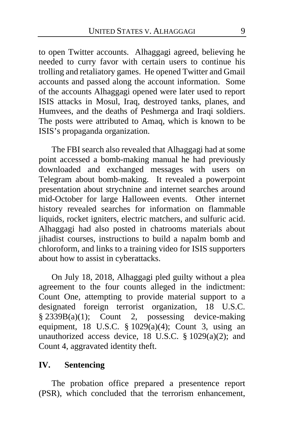to open Twitter accounts. Alhaggagi agreed, believing he needed to curry favor with certain users to continue his trolling and retaliatory games. He opened Twitter and Gmail accounts and passed along the account information. Some of the accounts Alhaggagi opened were later used to report ISIS attacks in Mosul, Iraq, destroyed tanks, planes, and Humvees, and the deaths of Peshmerga and Iraqi soldiers. The posts were attributed to Amaq, which is known to be ISIS's propaganda organization.

The FBI search also revealed that Alhaggagi had at some point accessed a bomb-making manual he had previously downloaded and exchanged messages with users on Telegram about bomb-making. It revealed a powerpoint presentation about strychnine and internet searches around mid-October for large Halloween events. Other internet history revealed searches for information on flammable liquids, rocket igniters, electric matchers, and sulfuric acid. Alhaggagi had also posted in chatrooms materials about jihadist courses, instructions to build a napalm bomb and chloroform, and links to a training video for ISIS supporters about how to assist in cyberattacks.

On July 18, 2018, Alhaggagi pled guilty without a plea agreement to the four counts alleged in the indictment: Count One, attempting to provide material support to a designated foreign terrorist organization, 18 U.S.C. § 2339B(a)(1); Count 2, possessing device-making equipment, 18 U.S.C.  $\frac{1}{2}$  1029(a)(4); Count 3, using an unauthorized access device, 18 U.S.C. § 1029(a)(2); and Count 4, aggravated identity theft.

# **IV. Sentencing**

The probation office prepared a presentence report (PSR), which concluded that the terrorism enhancement,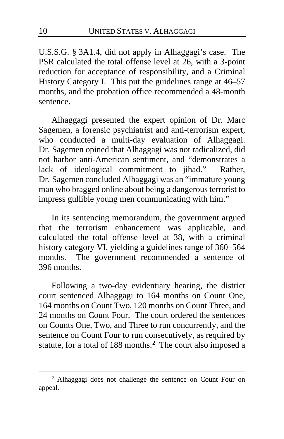U.S.S.G. § 3A1.4, did not apply in Alhaggagi's case. The PSR calculated the total offense level at 26, with a 3-point reduction for acceptance of responsibility, and a Criminal History Category I. This put the guidelines range at 46–57 months, and the probation office recommended a 48-month sentence.

Alhaggagi presented the expert opinion of Dr. Marc Sagemen, a forensic psychiatrist and anti-terrorism expert, who conducted a multi-day evaluation of Alhaggagi. Dr. Sagemen opined that Alhaggagi was not radicalized, did not harbor anti-American sentiment, and "demonstrates a lack of ideological commitment to jihad." Rather, Dr. Sagemen concluded Alhaggagi was an "immature young man who bragged online about being a dangerous terrorist to impress gullible young men communicating with him."

In its sentencing memorandum, the government argued that the terrorism enhancement was applicable, and calculated the total offense level at 38, with a criminal history category VI, yielding a guidelines range of 360–564 months. The government recommended a sentence of 396 months.

Following a two-day evidentiary hearing, the district court sentenced Alhaggagi to 164 months on Count One, 164 months on Count Two, 120 months on Count Three, and 24 months on Count Four. The court ordered the sentences on Counts One, Two, and Three to run concurrently, and the sentence on Count Four to run consecutively, as required by statute, for a total of 188 months.**[2](#page-9-0)** The court also imposed a

<span id="page-9-0"></span>**<sup>2</sup>** Alhaggagi does not challenge the sentence on Count Four on appeal.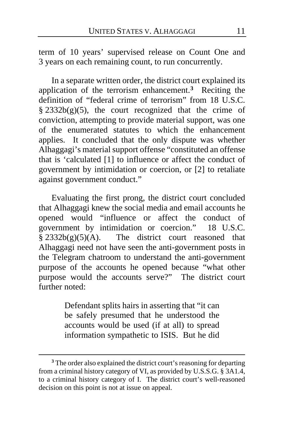term of 10 years' supervised release on Count One and 3 years on each remaining count, to run concurrently.

In a separate written order, the district court explained its application of the terrorism enhancement.**[3](#page-10-0)** Reciting the definition of "federal crime of terrorism" from 18 U.S.C.  $§$  2332b(g)(5), the court recognized that the crime of conviction, attempting to provide material support, was one of the enumerated statutes to which the enhancement applies. It concluded that the only dispute was whether Alhaggagi's material support offense "constituted an offense that is 'calculated [1] to influence or affect the conduct of government by intimidation or coercion, or [2] to retaliate against government conduct."

Evaluating the first prong, the district court concluded that Alhaggagi knew the social media and email accounts he opened would "influence or affect the conduct of government by intimidation or coercion." 18 U.S.C.  $§ 2332b(g)(5)(A)$ . The district court reasoned that Alhaggagi need not have seen the anti-government posts in the Telegram chatroom to understand the anti-government purpose of the accounts he opened because "what other purpose would the accounts serve?" The district court further noted:

> Defendant splits hairs in asserting that "it can be safely presumed that he understood the accounts would be used (if at all) to spread information sympathetic to ISIS. But he did

<span id="page-10-0"></span>**<sup>3</sup>** The order also explained the district court's reasoning for departing from a criminal history category of VI, as provided by U.S.S.G. § 3A1.4, to a criminal history category of I. The district court's well-reasoned decision on this point is not at issue on appeal.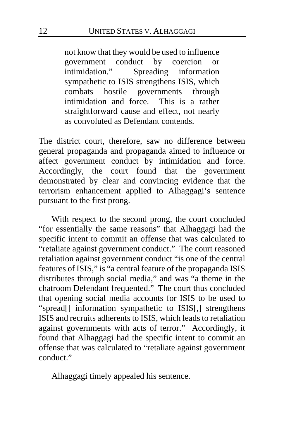not know that they would be used to influence government conduct by coercion or<br>intimidation." Spreading information Spreading information sympathetic to ISIS strengthens ISIS, which combats hostile governments through<br>intimidation and force. This is a rather intimidation and force. straightforward cause and effect, not nearly as convoluted as Defendant contends.

The district court, therefore, saw no difference between general propaganda and propaganda aimed to influence or affect government conduct by intimidation and force. Accordingly, the court found that the government demonstrated by clear and convincing evidence that the terrorism enhancement applied to Alhaggagi's sentence pursuant to the first prong.

With respect to the second prong, the court concluded "for essentially the same reasons" that Alhaggagi had the specific intent to commit an offense that was calculated to "retaliate against government conduct." The court reasoned retaliation against government conduct "is one of the central features of ISIS," is "a central feature of the propaganda ISIS distributes through social media," and was "a theme in the chatroom Defendant frequented." The court thus concluded that opening social media accounts for ISIS to be used to "spread[] information sympathetic to ISIS[,] strengthens ISIS and recruits adherents to ISIS, which leads to retaliation against governments with acts of terror." Accordingly, it found that Alhaggagi had the specific intent to commit an offense that was calculated to "retaliate against government conduct."

Alhaggagi timely appealed his sentence.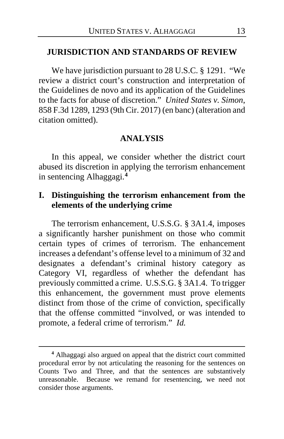### **JURISDICTION AND STANDARDS OF REVIEW**

We have jurisdiction pursuant to 28 U.S.C. § 1291. "We review a district court's construction and interpretation of the Guidelines de novo and its application of the Guidelines to the facts for abuse of discretion." *United States v. Simon*, 858 F.3d 1289, 1293 (9th Cir. 2017) (en banc) (alteration and citation omitted).

#### **ANALYSIS**

In this appeal, we consider whether the district court abused its discretion in applying the terrorism enhancement in sentencing Alhaggagi.**[4](#page-12-0)**

# **I. Distinguishing the terrorism enhancement from the elements of the underlying crime**

The terrorism enhancement, U.S.S.G. § 3A1.4, imposes a significantly harsher punishment on those who commit certain types of crimes of terrorism. The enhancement increases a defendant's offense level to a minimum of 32 and designates a defendant's criminal history category as Category VI, regardless of whether the defendant has previously committed a crime. U.S.S.G. § 3A1.4. To trigger this enhancement, the government must prove elements distinct from those of the crime of conviction, specifically that the offense committed "involved, or was intended to promote, a federal crime of terrorism." *Id.*

<span id="page-12-0"></span>**<sup>4</sup>** Alhaggagi also argued on appeal that the district court committed procedural error by not articulating the reasoning for the sentences on Counts Two and Three, and that the sentences are substantively unreasonable. Because we remand for resentencing, we need not consider those arguments.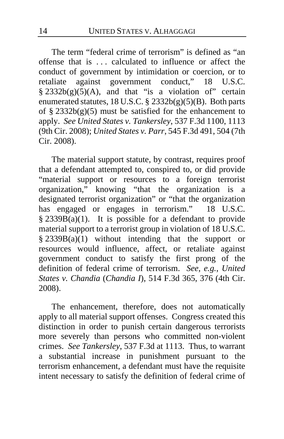The term "federal crime of terrorism" is defined as "an offense that is . . . calculated to influence or affect the conduct of government by intimidation or coercion, or to retaliate against government conduct," 18 U.S.C.  $§$  2332b(g)(5)(A), and that "is a violation of" certain enumerated statutes, 18 U.S.C. §  $2332b(g)(5)(B)$ . Both parts of §  $2332b(g)(5)$  must be satisfied for the enhancement to apply. *See United States v. Tankersley*, 537 F.3d 1100, 1113 (9th Cir. 2008); *United States v. Parr*, 545 F.3d 491, 504 (7th Cir. 2008).

The material support statute, by contrast, requires proof that a defendant attempted to, conspired to, or did provide "material support or resources to a foreign terrorist organization," knowing "that the organization is a designated terrorist organization" or "that the organization has engaged or engages in terrorism." 18 U.S.C.  $§ 2339B(a)(1)$ . It is possible for a defendant to provide material support to a terrorist group in violation of 18 U.S.C.  $§$  2339B(a)(1) without intending that the support or resources would influence, affect, or retaliate against government conduct to satisfy the first prong of the definition of federal crime of terrorism. *See, e.g.*, *United States v. Chandia* (*Chandia I*), 514 F.3d 365, 376 (4th Cir. 2008).

The enhancement, therefore, does not automatically apply to all material support offenses. Congress created this distinction in order to punish certain dangerous terrorists more severely than persons who committed non-violent crimes. *See Tankersley*, 537 F.3d at 1113. Thus, to warrant a substantial increase in punishment pursuant to the terrorism enhancement, a defendant must have the requisite intent necessary to satisfy the definition of federal crime of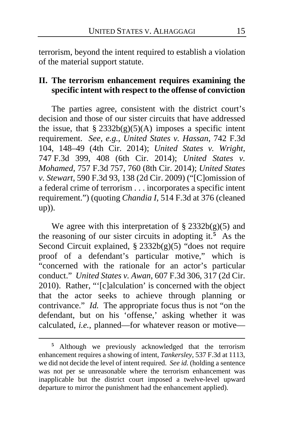terrorism, beyond the intent required to establish a violation of the material support statute.

# **II. The terrorism enhancement requires examining the specific intent with respect to the offense of conviction**

The parties agree, consistent with the district court's decision and those of our sister circuits that have addressed the issue, that  $\S 2332b(g)(5)(A)$  imposes a specific intent requirement. *See, e.g.*, *United States v. Hassan*, 742 F.3d 104, 148–49 (4th Cir. 2014); *United States v. Wright*, 747 F.3d 399, 408 (6th Cir. 2014); *United States v. Mohamed*, 757 F.3d 757, 760 (8th Cir. 2014); *United States v. Stewart*, 590 F.3d 93, 138 (2d Cir. 2009) ("[C]omission of a federal crime of terrorism . . . incorporates a specific intent requirement.") (quoting *Chandia I*, 514 F.3d at 376 (cleaned up)).

We agree with this interpretation of  $\S 2332b(g)(5)$  and the reasoning of our sister circuits in adopting it.**[5](#page-14-0)** As the Second Circuit explained, § 2332b(g)(5) "does not require proof of a defendant's particular motive," which is "concerned with the rationale for an actor's particular conduct." *United States v. Awan*, 607 F.3d 306, 317 (2d Cir. 2010). Rather, "'[c]alculation' is concerned with the object that the actor seeks to achieve through planning or contrivance." *Id.* The appropriate focus thus is not "on the defendant, but on his 'offense,' asking whether it was calculated, *i.e.*, planned—for whatever reason or motive—

<span id="page-14-0"></span>**<sup>5</sup>** Although we previously acknowledged that the terrorism enhancement requires a showing of intent, *Tankersley*, 537 F.3d at 1113, we did not decide the level of intent required. *See id.* (holding a sentence was not per se unreasonable where the terrorism enhancement was inapplicable but the district court imposed a twelve-level upward departure to mirror the punishment had the enhancement applied).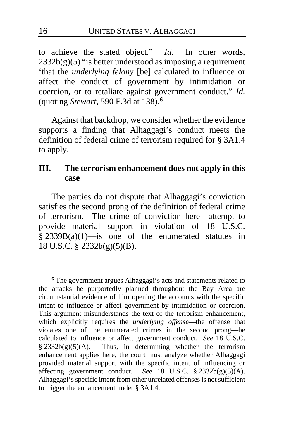to achieve the stated object." *Id.* In other words,  $2332b(g)(5)$  "is better understood as imposing a requirement 'that the *underlying felony* [be] calculated to influence or affect the conduct of government by intimidation or coercion, or to retaliate against government conduct." *Id.*  (quoting *Stewart*, 590 F.3d at 138).**[6](#page-15-0)**

Against that backdrop, we consider whether the evidence supports a finding that Alhaggagi's conduct meets the definition of federal crime of terrorism required for § 3A1.4 to apply.

## **III. The terrorism enhancement does not apply in this case**

The parties do not dispute that Alhaggagi's conviction satisfies the second prong of the definition of federal crime of terrorism. The crime of conviction here—attempt to provide material support in violation of 18 U.S.C.  $§$  2339B(a)(1)—is one of the enumerated statutes in 18 U.S.C. § 2332b(g)(5)(B).

<span id="page-15-0"></span>**<sup>6</sup>** The government argues Alhaggagi's acts and statements related to the attacks he purportedly planned throughout the Bay Area are circumstantial evidence of him opening the accounts with the specific intent to influence or affect government by intimidation or coercion. This argument misunderstands the text of the terrorism enhancement, which explicitly requires the *underlying offense*—the offense that violates one of the enumerated crimes in the second prong—be calculated to influence or affect government conduct. *See* 18 U.S.C.  $§ 2332b(g)(5)(A)$ . Thus, in determining whether the terrorism enhancement applies here, the court must analyze whether Alhaggagi provided material support with the specific intent of influencing or affecting government conduct. *See* 18 U.S.C. § 2332b(g)(5)(A). Alhaggagi's specific intent from other unrelated offenses is not sufficient to trigger the enhancement under § 3A1.4.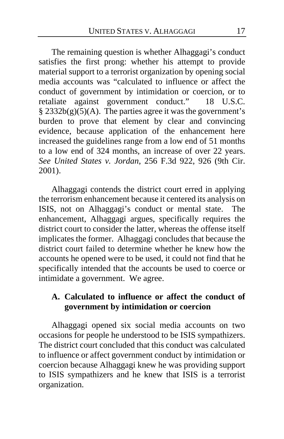The remaining question is whether Alhaggagi's conduct satisfies the first prong: whether his attempt to provide material support to a terrorist organization by opening social media accounts was "calculated to influence or affect the conduct of government by intimidation or coercion, or to retaliate against government conduct." 18 U.S.C.  $§$  2332b(g)(5)(A). The parties agree it was the government's burden to prove that element by clear and convincing evidence, because application of the enhancement here increased the guidelines range from a low end of 51 months to a low end of 324 months, an increase of over 22 years. *See United States v. Jordan*, 256 F.3d 922, 926 (9th Cir. 2001).

Alhaggagi contends the district court erred in applying the terrorism enhancement because it centered its analysis on ISIS, not on Alhaggagi's conduct or mental state. The enhancement, Alhaggagi argues, specifically requires the district court to consider the latter, whereas the offense itself implicates the former. Alhaggagi concludes that because the district court failed to determine whether he knew how the accounts he opened were to be used, it could not find that he specifically intended that the accounts be used to coerce or intimidate a government. We agree.

# **A. Calculated to influence or affect the conduct of government by intimidation or coercion**

Alhaggagi opened six social media accounts on two occasions for people he understood to be ISIS sympathizers. The district court concluded that this conduct was calculated to influence or affect government conduct by intimidation or coercion because Alhaggagi knew he was providing support to ISIS sympathizers and he knew that ISIS is a terrorist organization.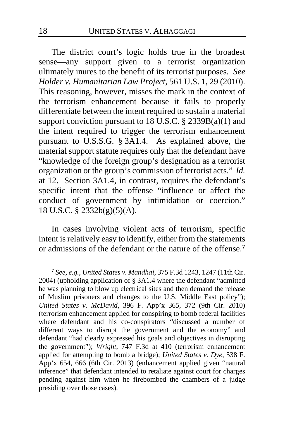The district court's logic holds true in the broadest sense—any support given to a terrorist organization ultimately inures to the benefit of its terrorist purposes. *See Holder v. Humanitarian Law Project*, 561 U.S. 1, 29 (2010). This reasoning, however, misses the mark in the context of the terrorism enhancement because it fails to properly differentiate between the intent required to sustain a material support conviction pursuant to 18 U.S.C. § 2339B(a)(1) and the intent required to trigger the terrorism enhancement pursuant to U.S.S.G. § 3A1.4. As explained above, the material support statute requires only that the defendant have "knowledge of the foreign group's designation as a terrorist organization or the group's commission of terrorist acts." *Id.*  at 12. Section 3A1.4, in contrast, requires the defendant's specific intent that the offense "influence or affect the conduct of government by intimidation or coercion." 18 U.S.C. § 2332b(g)(5)(A).

In cases involving violent acts of terrorism, specific intent is relatively easy to identify, either from the statements or admissions of the defendant or the nature of the offense.**[7](#page-17-0)**

<span id="page-17-0"></span>**<sup>7</sup>** *See, e.g.*, *United States v. Mandhai*, 375 F.3d 1243, 1247 (11th Cir. 2004) (upholding application of § 3A1.4 where the defendant "admitted he was planning to blow up electrical sites and then demand the release of Muslim prisoners and changes to the U.S. Middle East policy"); *United States v. McDavid*, 396 F. App'x 365, 372 (9th Cir. 2010) (terrorism enhancement applied for conspiring to bomb federal facilities where defendant and his co-conspirators "discussed a number of different ways to disrupt the government and the economy" and defendant "had clearly expressed his goals and objectives in disrupting the government"); *Wright*, 747 F.3d at 410 (terrorism enhancement applied for attempting to bomb a bridge); *United States v. Dye*, 538 F. App'x 654, 666 (6th Cir. 2013) (enhancement applied given "natural inference" that defendant intended to retaliate against court for charges pending against him when he firebombed the chambers of a judge presiding over those cases).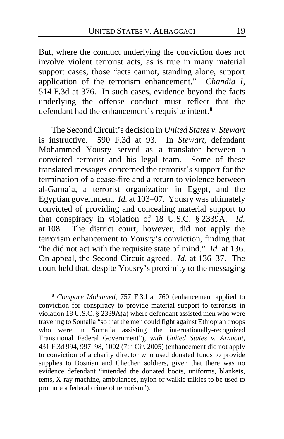But, where the conduct underlying the conviction does not involve violent terrorist acts, as is true in many material support cases, those "acts cannot, standing alone, support application of the terrorism enhancement." *Chandia I*, 514 F.3d at 376. In such cases, evidence beyond the facts underlying the offense conduct must reflect that the defendant had the enhancement's requisite intent.**[8](#page-18-0)**

The Second Circuit's decision in *United States v. Stewart* is instructive. 590 F.3d at 93. In *Stewart*, defendant Mohammed Yousry served as a translator between a convicted terrorist and his legal team. Some of these translated messages concerned the terrorist's support for the termination of a cease-fire and a return to violence between al-Gama'a, a terrorist organization in Egypt, and the Egyptian government. *Id.* at 103–07. Yousry was ultimately convicted of providing and concealing material support to that conspiracy in violation of 18 U.S.C. § 2339A. *Id.* at 108. The district court, however, did not apply the terrorism enhancement to Yousry's conviction, finding that "he did not act with the requisite state of mind." *Id.* at 136. On appeal, the Second Circuit agreed. *Id.* at 136–37. The court held that, despite Yousry's proximity to the messaging

<span id="page-18-0"></span>**<sup>8</sup>** *Compare Mohamed*, 757 F.3d at 760 (enhancement applied to conviction for conspiracy to provide material support to terrorists in violation 18 U.S.C.  $\hat{\S}$  2339A(a) where defendant assisted men who were traveling to Somalia "so that the men could fight against Ethiopian troops who were in Somalia assisting the internationally-recognized Transitional Federal Government"), *with United States v. Arnaout*, 431 F.3d 994, 997–98, 1002 (7th Cir. 2005) (enhancement did not apply to conviction of a charity director who used donated funds to provide supplies to Bosnian and Chechen soldiers, given that there was no evidence defendant "intended the donated boots, uniforms, blankets, tents, X-ray machine, ambulances, nylon or walkie talkies to be used to promote a federal crime of terrorism").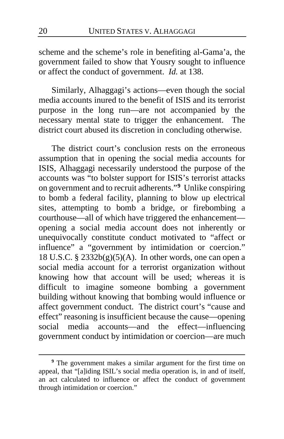scheme and the scheme's role in benefiting al-Gama'a, the government failed to show that Yousry sought to influence or affect the conduct of government. *Id.* at 138.

Similarly, Alhaggagi's actions—even though the social media accounts inured to the benefit of ISIS and its terrorist purpose in the long run—are not accompanied by the necessary mental state to trigger the enhancement. The district court abused its discretion in concluding otherwise.

The district court's conclusion rests on the erroneous assumption that in opening the social media accounts for ISIS, Alhaggagi necessarily understood the purpose of the accounts was "to bolster support for ISIS's terrorist attacks on government and to recruit adherents."**[9](#page-19-0)** Unlike conspiring to bomb a federal facility, planning to blow up electrical sites, attempting to bomb a bridge, or firebombing a courthouse—all of which have triggered the enhancement opening a social media account does not inherently or unequivocally constitute conduct motivated to "affect or influence" a "government by intimidation or coercion." 18 U.S.C. §  $2332b(g)(5)(A)$ . In other words, one can open a social media account for a terrorist organization without knowing how that account will be used; whereas it is difficult to imagine someone bombing a government building without knowing that bombing would influence or affect government conduct. The district court's "cause and effect" reasoning is insufficient because the cause—opening social media accounts—and the effect—influencing government conduct by intimidation or coercion—are much

<span id="page-19-0"></span>**<sup>9</sup>** The government makes a similar argument for the first time on appeal, that "[a]iding ISIL's social media operation is, in and of itself, an act calculated to influence or affect the conduct of government through intimidation or coercion."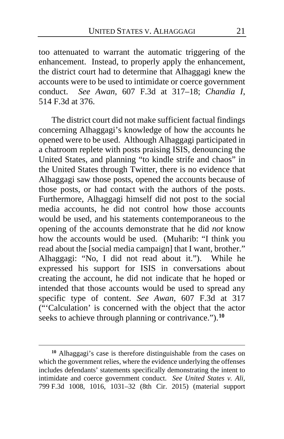too attenuated to warrant the automatic triggering of the enhancement. Instead, to properly apply the enhancement, the district court had to determine that Alhaggagi knew the accounts were to be used to intimidate or coerce government conduct. *See Awan*, 607 F.3d at 317–18; *Chandia I*, 514 F.3d at 376.

The district court did not make sufficient factual findings concerning Alhaggagi's knowledge of how the accounts he opened were to be used. Although Alhaggagi participated in a chatroom replete with posts praising ISIS, denouncing the United States, and planning "to kindle strife and chaos" in the United States through Twitter, there is no evidence that Alhaggagi saw those posts, opened the accounts because of those posts, or had contact with the authors of the posts. Furthermore, Alhaggagi himself did not post to the social media accounts, he did not control how those accounts would be used, and his statements contemporaneous to the opening of the accounts demonstrate that he did *not* know how the accounts would be used. (Muharib: "I think you read about the [social media campaign] that I want, brother." Alhaggagi: "No, I did not read about it."). While he expressed his support for ISIS in conversations about creating the account, he did not indicate that he hoped or intended that those accounts would be used to spread any specific type of content. *See Awan*, 607 F.3d at 317 ("'Calculation' is concerned with the object that the actor seeks to achieve through planning or contrivance.").**[10](#page-20-0)**

<span id="page-20-0"></span>**<sup>10</sup>** Alhaggagi's case is therefore distinguishable from the cases on which the government relies, where the evidence underlying the offenses includes defendants' statements specifically demonstrating the intent to intimidate and coerce government conduct. *See United States v. Ali*, 799 F.3d 1008, 1016, 1031–32 (8th Cir. 2015) (material support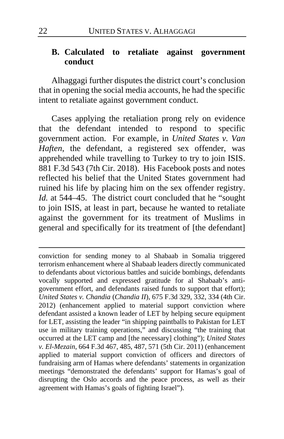### **B. Calculated to retaliate against government conduct**

Alhaggagi further disputes the district court's conclusion that in opening the social media accounts, he had the specific intent to retaliate against government conduct.

Cases applying the retaliation prong rely on evidence that the defendant intended to respond to specific government action. For example, in *United States v. Van Haften*, the defendant, a registered sex offender, was apprehended while travelling to Turkey to try to join ISIS. 881 F.3d 543 (7th Cir. 2018). His Facebook posts and notes reflected his belief that the United States government had ruined his life by placing him on the sex offender registry. *Id.* at 544–45. The district court concluded that he "sought to join ISIS, at least in part, because he wanted to retaliate against the government for its treatment of Muslims in general and specifically for its treatment of [the defendant]

conviction for sending money to al Shabaab in Somalia triggered terrorism enhancement where al Shabaab leaders directly communicated to defendants about victorious battles and suicide bombings, defendants vocally supported and expressed gratitude for al Shabaab's antigovernment effort, and defendants raised funds to support that effort); *United States v. Chandia* (*Chandia II*), 675 F.3d 329, 332, 334 (4th Cir. 2012) (enhancement applied to material support conviction where defendant assisted a known leader of LET by helping secure equipment for LET, assisting the leader "in shipping paintballs to Pakistan for LET use in military training operations," and discussing "the training that occurred at the LET camp and [the necessary] clothing"); *United States v. El-Mezain*, 664 F.3d 467, 485, 487, 571 (5th Cir. 2011) (enhancement applied to material support conviction of officers and directors of fundraising arm of Hamas where defendants' statements in organization meetings "demonstrated the defendants' support for Hamas's goal of disrupting the Oslo accords and the peace process, as well as their agreement with Hamas's goals of fighting Israel").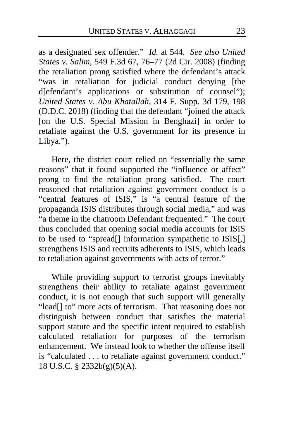as a designated sex offender." *Id.* at 544. *See also United States v. Salim*, 549 F.3d 67, 76–77 (2d Cir. 2008) (finding the retaliation prong satisfied where the defendant's attack "was in retaliation for judicial conduct denying [the dlefendant's applications or substitution of counsel"); *United States v. Abu Khatallah*, 314 F. Supp. 3d 179, 198 (D.D.C. 2018) (finding that the defendant "joined the attack [on the U.S. Special Mission in Benghazi] in order to retaliate against the U.S. government for its presence in Libya.").

Here, the district court relied on "essentially the same reasons" that it found supported the "influence or affect" prong to find the retaliation prong satisfied. The court reasoned that retaliation against government conduct is a "central features of ISIS," is "a central feature of the propaganda ISIS distributes through social media," and was "a theme in the chatroom Defendant frequented." The court thus concluded that opening social media accounts for ISIS to be used to "spread[] information sympathetic to ISIS[,] strengthens ISIS and recruits adherents to ISIS, which leads to retaliation against governments with acts of terror."

While providing support to terrorist groups inevitably strengthens their ability to retaliate against government conduct, it is not enough that such support will generally "lead[] to" more acts of terrorism. That reasoning does not distinguish between conduct that satisfies the material support statute and the specific intent required to establish calculated retaliation for purposes of the terrorism enhancement. We instead look to whether the offense itself is "calculated . . . to retaliate against government conduct." 18 U.S.C. § 2332b(g)(5)(A).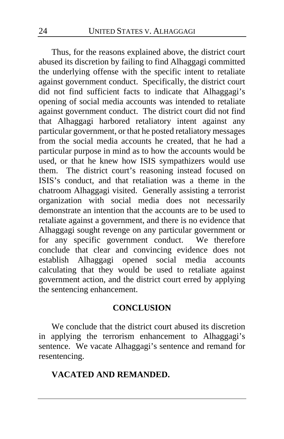Thus, for the reasons explained above, the district court abused its discretion by failing to find Alhaggagi committed the underlying offense with the specific intent to retaliate against government conduct. Specifically, the district court did not find sufficient facts to indicate that Alhaggagi's opening of social media accounts was intended to retaliate against government conduct. The district court did not find that Alhaggagi harbored retaliatory intent against any particular government, or that he posted retaliatory messages from the social media accounts he created, that he had a particular purpose in mind as to how the accounts would be used, or that he knew how ISIS sympathizers would use them. The district court's reasoning instead focused on ISIS's conduct, and that retaliation was a theme in the chatroom Alhaggagi visited. Generally assisting a terrorist organization with social media does not necessarily demonstrate an intention that the accounts are to be used to retaliate against a government, and there is no evidence that Alhaggagi sought revenge on any particular government or for any specific government conduct. We therefore conclude that clear and convincing evidence does not establish Alhaggagi opened social media accounts calculating that they would be used to retaliate against government action, and the district court erred by applying the sentencing enhancement.

### **CONCLUSION**

We conclude that the district court abused its discretion in applying the terrorism enhancement to Alhaggagi's sentence. We vacate Alhaggagi's sentence and remand for resentencing.

# **VACATED AND REMANDED.**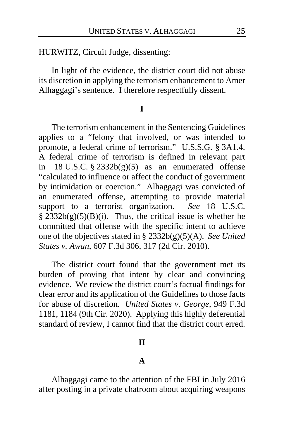HURWITZ, Circuit Judge, dissenting:

In light of the evidence, the district court did not abuse its discretion in applying the terrorism enhancement to Amer Alhaggagi's sentence. I therefore respectfully dissent.

#### **I**

The terrorism enhancement in the Sentencing Guidelines applies to a "felony that involved, or was intended to promote, a federal crime of terrorism." U.S.S.G. § 3A1.4. A federal crime of terrorism is defined in relevant part in 18 U.S.C.  $\S$  2332b(g)(5) as an enumerated offense "calculated to influence or affect the conduct of government by intimidation or coercion." Alhaggagi was convicted of an enumerated offense, attempting to provide material support to a terrorist organization. See 18 U.S.C. support to a terrorist organization.  $\S$  2332b(g)(5)(B)(i). Thus, the critical issue is whether he committed that offense with the specific intent to achieve one of the objectives stated in § 2332b(g)(5)(A). *See United States v. Awan*, 607 F.3d 306, 317 (2d Cir. 2010).

The district court found that the government met its burden of proving that intent by clear and convincing evidence. We review the district court's factual findings for clear error and its application of the Guidelines to those facts for abuse of discretion. *United States v. George*, 949 F.3d 1181, 1184 (9th Cir. 2020). Applying this highly deferential standard of review, I cannot find that the district court erred.

#### **II**

#### **A**

Alhaggagi came to the attention of the FBI in July 2016 after posting in a private chatroom about acquiring weapons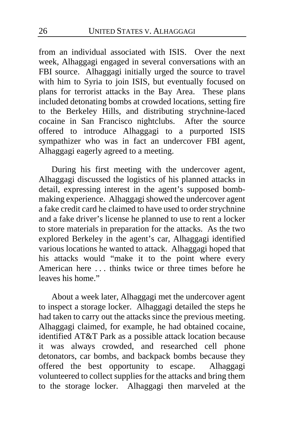from an individual associated with ISIS. Over the next week, Alhaggagi engaged in several conversations with an FBI source. Alhaggagi initially urged the source to travel with him to Syria to join ISIS, but eventually focused on plans for terrorist attacks in the Bay Area. These plans included detonating bombs at crowded locations, setting fire to the Berkeley Hills, and distributing strychnine-laced cocaine in San Francisco nightclubs. After the source offered to introduce Alhaggagi to a purported ISIS sympathizer who was in fact an undercover FBI agent, Alhaggagi eagerly agreed to a meeting.

During his first meeting with the undercover agent, Alhaggagi discussed the logistics of his planned attacks in detail, expressing interest in the agent's supposed bombmaking experience. Alhaggagi showed the undercover agent a fake credit card he claimed to have used to order strychnine and a fake driver's license he planned to use to rent a locker to store materials in preparation for the attacks. As the two explored Berkeley in the agent's car, Alhaggagi identified various locations he wanted to attack. Alhaggagi hoped that his attacks would "make it to the point where every American here . . . thinks twice or three times before he leaves his home."

About a week later, Alhaggagi met the undercover agent to inspect a storage locker. Alhaggagi detailed the steps he had taken to carry out the attacks since the previous meeting. Alhaggagi claimed, for example, he had obtained cocaine, identified AT&T Park as a possible attack location because it was always crowded, and researched cell phone detonators, car bombs, and backpack bombs because they offered the best opportunity to escape. Alhaggagi volunteered to collect supplies for the attacks and bring them to the storage locker. Alhaggagi then marveled at the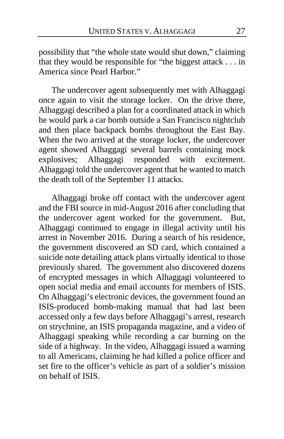possibility that "the whole state would shut down," claiming that they would be responsible for "the biggest attack . . . in America since Pearl Harbor."

The undercover agent subsequently met with Alhaggagi once again to visit the storage locker. On the drive there, Alhaggagi described a plan for a coordinated attack in which he would park a car bomb outside a San Francisco nightclub and then place backpack bombs throughout the East Bay. When the two arrived at the storage locker, the undercover agent showed Alhaggagi several barrels containing mock explosives; Alhaggagi responded with excitement. Alhaggagi told the undercover agent that he wanted to match the death toll of the September 11 attacks.

Alhaggagi broke off contact with the undercover agent and the FBI source in mid-August 2016 after concluding that the undercover agent worked for the government. But, Alhaggagi continued to engage in illegal activity until his arrest in November 2016. During a search of his residence, the government discovered an SD card, which contained a suicide note detailing attack plans virtually identical to those previously shared. The government also discovered dozens of encrypted messages in which Alhaggagi volunteered to open social media and email accounts for members of ISIS. On Alhaggagi's electronic devices, the government found an ISIS-produced bomb-making manual that had last been accessed only a few days before Alhaggagi's arrest, research on strychnine, an ISIS propaganda magazine, and a video of Alhaggagi speaking while recording a car burning on the side of a highway. In the video, Alhaggagi issued a warning to all Americans, claiming he had killed a police officer and set fire to the officer's vehicle as part of a soldier's mission on behalf of ISIS.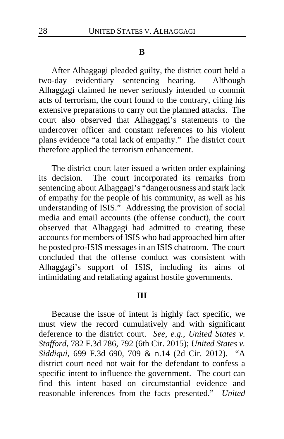#### **B**

After Alhaggagi pleaded guilty, the district court held a two-day evidentiary sentencing hearing. Although Alhaggagi claimed he never seriously intended to commit acts of terrorism, the court found to the contrary, citing his extensive preparations to carry out the planned attacks. The court also observed that Alhaggagi's statements to the undercover officer and constant references to his violent plans evidence "a total lack of empathy." The district court therefore applied the terrorism enhancement.

The district court later issued a written order explaining its decision. The court incorporated its remarks from sentencing about Alhaggagi's "dangerousness and stark lack of empathy for the people of his community, as well as his understanding of ISIS." Addressing the provision of social media and email accounts (the offense conduct), the court observed that Alhaggagi had admitted to creating these accounts for members of ISIS who had approached him after he posted pro-ISIS messages in an ISIS chatroom. The court concluded that the offense conduct was consistent with Alhaggagi's support of ISIS, including its aims of intimidating and retaliating against hostile governments.

### **III**

Because the issue of intent is highly fact specific, we must view the record cumulatively and with significant deference to the district court. *See, e.g.*, *United States v. Stafford*, 782 F.3d 786, 792 (6th Cir. 2015); *United States v. Siddiqui*, 699 F.3d 690, 709 & n.14 (2d Cir. 2012). "A district court need not wait for the defendant to confess a specific intent to influence the government. The court can find this intent based on circumstantial evidence and reasonable inferences from the facts presented." *United*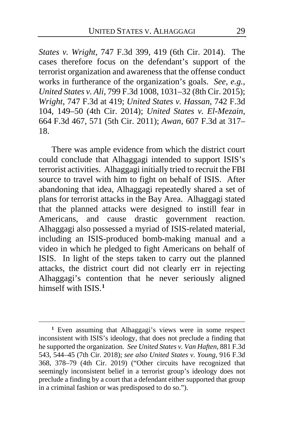*States v. Wright*, 747 F.3d 399, 419 (6th Cir. 2014). The cases therefore focus on the defendant's support of the terrorist organization and awareness that the offense conduct works in furtherance of the organization's goals. *See, e.g.*, *United States v. Ali*, 799 F.3d 1008, 1031–32 (8th Cir. 2015); *Wright*, 747 F.3d at 419; *United States v. Hassan*, 742 F.3d 104, 149–50 (4th Cir. 2014); *United States v. El-Mezain*, 664 F.3d 467, 571 (5th Cir. 2011); *Awan*, 607 F.3d at 317– 18.

There was ample evidence from which the district court could conclude that Alhaggagi intended to support ISIS's terrorist activities. Alhaggagi initially tried to recruit the FBI source to travel with him to fight on behalf of ISIS. After abandoning that idea, Alhaggagi repeatedly shared a set of plans for terrorist attacks in the Bay Area. Alhaggagi stated that the planned attacks were designed to instill fear in Americans, and cause drastic government reaction. Alhaggagi also possessed a myriad of ISIS-related material, including an ISIS-produced bomb-making manual and a video in which he pledged to fight Americans on behalf of ISIS. In light of the steps taken to carry out the planned attacks, the district court did not clearly err in rejecting Alhaggagi's contention that he never seriously aligned himself with ISIS<sup>[1](#page-28-0)</sup>

<span id="page-28-0"></span>**<sup>1</sup>** Even assuming that Alhaggagi's views were in some respect inconsistent with ISIS's ideology, that does not preclude a finding that he supported the organization. *See United States v. Van Haften*, 881 F.3d 543, 544–45 (7th Cir. 2018); *see also United States v. Young*, 916 F.3d 368, 378–79 (4th Cir. 2019) ("Other circuits have recognized that seemingly inconsistent belief in a terrorist group's ideology does not preclude a finding by a court that a defendant either supported that group in a criminal fashion or was predisposed to do so.").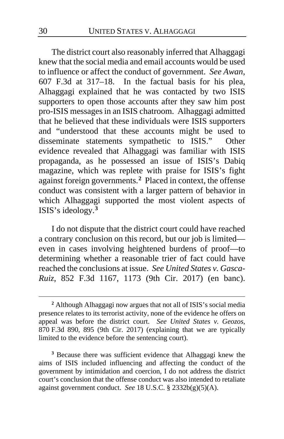The district court also reasonably inferred that Alhaggagi knew that the social media and email accounts would be used to influence or affect the conduct of government. *See Awan*, 607 F.3d at 317–18. In the factual basis for his plea, Alhaggagi explained that he was contacted by two ISIS supporters to open those accounts after they saw him post pro-ISIS messages in an ISIS chatroom. Alhaggagi admitted that he believed that these individuals were ISIS supporters and "understood that these accounts might be used to disseminate statements sympathetic to ISIS." Other evidence revealed that Alhaggagi was familiar with ISIS propaganda, as he possessed an issue of ISIS's Dabiq magazine, which was replete with praise for ISIS's fight against foreign governments.**[2](#page-29-0)** Placed in context, the offense conduct was consistent with a larger pattern of behavior in which Alhaggagi supported the most violent aspects of ISIS's ideology.**[3](#page-29-1)**

I do not dispute that the district court could have reached a contrary conclusion on this record, but our job is limited even in cases involving heightened burdens of proof—to determining whether a reasonable trier of fact could have reached the conclusions at issue. *See United States v. Gasca-Ruiz*, 852 F.3d 1167, 1173 (9th Cir. 2017) (en banc).

<span id="page-29-0"></span>**<sup>2</sup>** Although Alhaggagi now argues that not all of ISIS's social media presence relates to its terrorist activity, none of the evidence he offers on appeal was before the district court. *See United States v. Geozos*, 870 F.3d 890, 895 (9th Cir. 2017) (explaining that we are typically limited to the evidence before the sentencing court).

<span id="page-29-1"></span>**<sup>3</sup>** Because there was sufficient evidence that Alhaggagi knew the aims of ISIS included influencing and affecting the conduct of the government by intimidation and coercion, I do not address the district court's conclusion that the offense conduct was also intended to retaliate against government conduct. *See* 18 U.S.C. § 2332b(g)(5)(A).